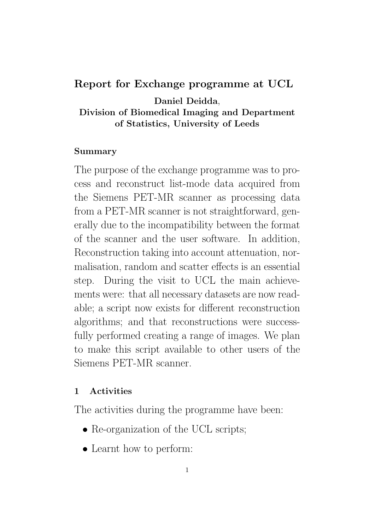### Report for Exchange programme at UCL

Daniel Deidda, Division of Biomedical Imaging and Department of Statistics, University of Leeds

#### Summary

The purpose of the exchange programme was to process and reconstruct list-mode data acquired from the Siemens PET-MR scanner as processing data from a PET-MR scanner is not straightforward, generally due to the incompatibility between the format of the scanner and the user software. In addition, Reconstruction taking into account attenuation, normalisation, random and scatter effects is an essential step. During the visit to UCL the main achievements were: that all necessary datasets are now readable; a script now exists for different reconstruction algorithms; and that reconstructions were successfully performed creating a range of images. We plan to make this script available to other users of the Siemens PET-MR scanner.

#### 1 Activities

The activities during the programme have been:

- Re-organization of the UCL scripts;
- Learnt how to perform: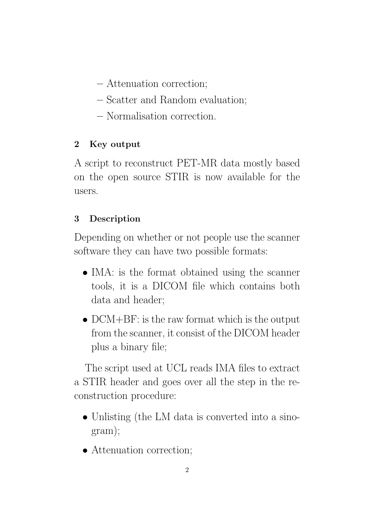- Attenuation correction;
- Scatter and Random evaluation;
- Normalisation correction.

# 2 Key output

A script to reconstruct PET-MR data mostly based on the open source STIR is now available for the users.

# 3 Description

Depending on whether or not people use the scanner software they can have two possible formats:

- IMA: is the format obtained using the scanner tools, it is a DICOM file which contains both data and header;
- DCM+BF: is the raw format which is the output from the scanner, it consist of the DICOM header plus a binary file;

The script used at UCL reads IMA files to extract a STIR header and goes over all the step in the reconstruction procedure:

- Unlisting (the LM data is converted into a sinogram);
- Attenuation correction;